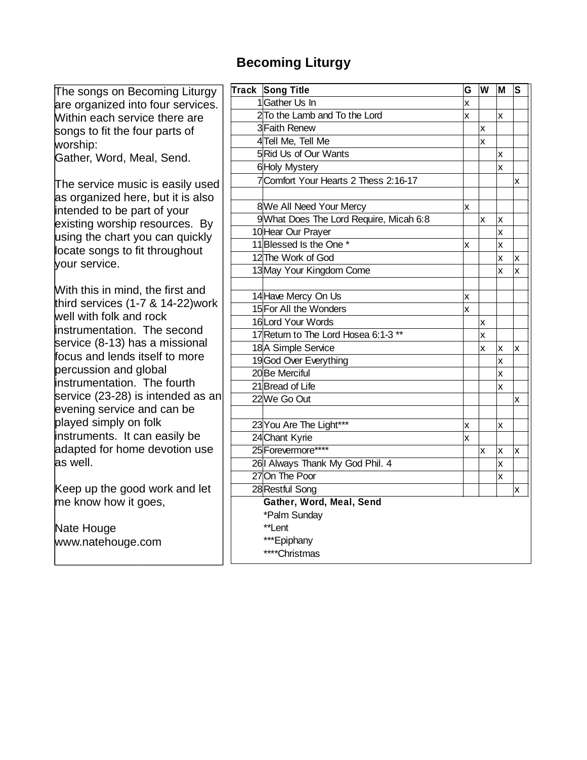#### **Becoming Liturgy**

| The songs on Becoming Liturgy                                                                                                                                                                                                | Track Song Title                        | G | W                       | M   | S        |
|------------------------------------------------------------------------------------------------------------------------------------------------------------------------------------------------------------------------------|-----------------------------------------|---|-------------------------|-----|----------|
| are organized into four services.                                                                                                                                                                                            | 1Gather Us In                           | X |                         |     |          |
| Within each service there are                                                                                                                                                                                                | 2 To the Lamb and To the Lord           | X |                         | lx. |          |
| songs to fit the four parts of                                                                                                                                                                                               | 3 Faith Renew                           |   | x                       |     |          |
| worship:                                                                                                                                                                                                                     | 4Tell Me, Tell Me                       |   | $\overline{\mathsf{x}}$ |     |          |
| Gather, Word, Meal, Send.                                                                                                                                                                                                    | 5 Rid Us of Our Wants                   |   |                         | x   |          |
|                                                                                                                                                                                                                              | 6 Holy Mystery                          |   |                         | x   |          |
| The service music is easily used<br>as organized here, but it is also<br>intended to be part of your<br>existing worship resources. By<br>using the chart you can quickly<br>locate songs to fit throughout<br>vour service. | 7 Comfort Your Hearts 2 Thess 2:16-17   |   |                         |     | X.       |
|                                                                                                                                                                                                                              |                                         |   |                         |     |          |
|                                                                                                                                                                                                                              | 8 We All Need Your Mercy                | X |                         |     |          |
|                                                                                                                                                                                                                              | 9 What Does The Lord Require, Micah 6:8 |   | x                       | X   |          |
|                                                                                                                                                                                                                              | 10 Hear Our Prayer                      |   |                         | X   |          |
|                                                                                                                                                                                                                              | 11 Blessed Is the One *                 | X |                         | x   |          |
|                                                                                                                                                                                                                              | 12 The Work of God                      |   |                         | x   | ΙX.      |
|                                                                                                                                                                                                                              | 13 May Your Kingdom Come                |   |                         | x   | Ιx       |
|                                                                                                                                                                                                                              |                                         |   |                         |     |          |
| With this in mind, the first and<br>third services (1-7 & 14-22) work<br>well with folk and rock<br>instrumentation. The second                                                                                              | 14 Have Mercy On Us                     | x |                         |     |          |
|                                                                                                                                                                                                                              | 15 For All the Wonders                  | X |                         |     |          |
|                                                                                                                                                                                                                              | 16Lord Your Words                       |   | x                       |     |          |
|                                                                                                                                                                                                                              | 17 Return to The Lord Hosea 6:1-3 **    |   | X                       |     |          |
| service (8-13) has a missional                                                                                                                                                                                               | 18 A Simple Service                     |   | X                       | X   | X.       |
| focus and lends itself to more<br>percussion and global<br>instrumentation. The fourth                                                                                                                                       | 19God Over Everything                   |   |                         | x   |          |
|                                                                                                                                                                                                                              | 20 Be Merciful                          |   |                         | X   |          |
|                                                                                                                                                                                                                              | 21 Bread of Life                        |   |                         | X   |          |
| service (23-28) is intended as an                                                                                                                                                                                            | 22 We Go Out                            |   |                         |     | Ιx.      |
| evening service and can be                                                                                                                                                                                                   |                                         |   |                         |     |          |
| played simply on folk                                                                                                                                                                                                        | 23 You Are The Light***                 | x |                         | x   |          |
| instruments. It can easily be                                                                                                                                                                                                | 24 Chant Kyrie                          | X |                         |     |          |
| adapted for home devotion use                                                                                                                                                                                                | 25 Forevermore****                      |   | x                       | Ιx  | ΙX.      |
| as well.                                                                                                                                                                                                                     | 26  Always Thank My God Phil. 4         |   |                         | X   |          |
|                                                                                                                                                                                                                              | 27On The Poor                           |   |                         | X   |          |
| Keep up the good work and let                                                                                                                                                                                                | 28 Restful Song                         |   |                         |     | <b>X</b> |
| me know how it goes,                                                                                                                                                                                                         | Gather, Word, Meal, Send                |   |                         |     |          |
|                                                                                                                                                                                                                              | *Palm Sunday                            |   |                         |     |          |
| Nate Houge                                                                                                                                                                                                                   | **Lent                                  |   |                         |     |          |
| www.natehouge.com                                                                                                                                                                                                            | ***Epiphany                             |   |                         |     |          |
|                                                                                                                                                                                                                              | ****Christmas                           |   |                         |     |          |
|                                                                                                                                                                                                                              |                                         |   |                         |     |          |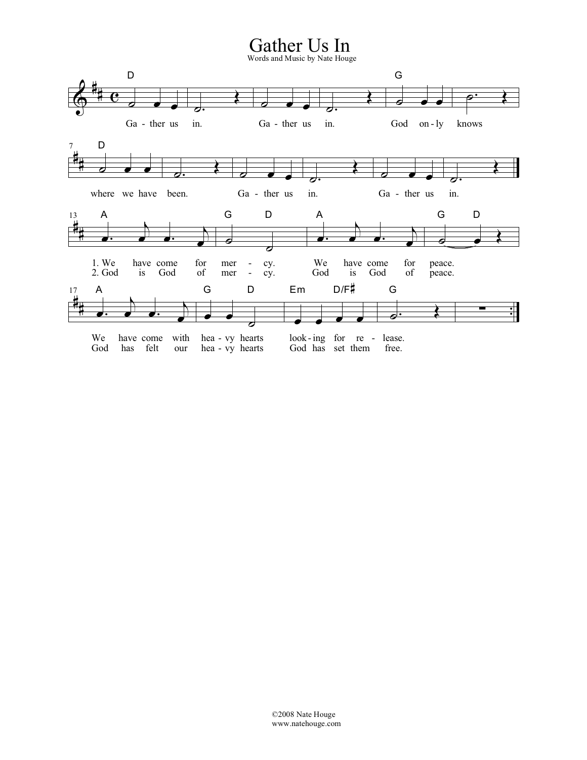## Gather Us In<br>Words and Music by Nate Houge

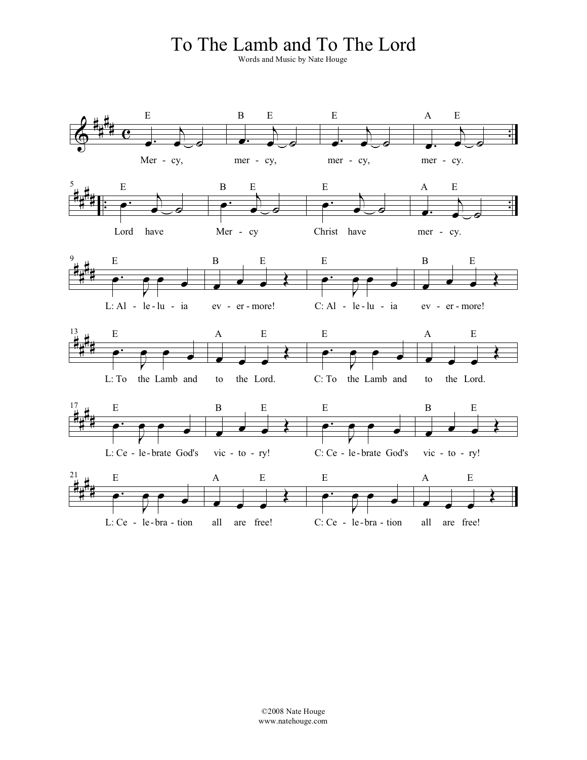#### To The Lamb and To The Lord

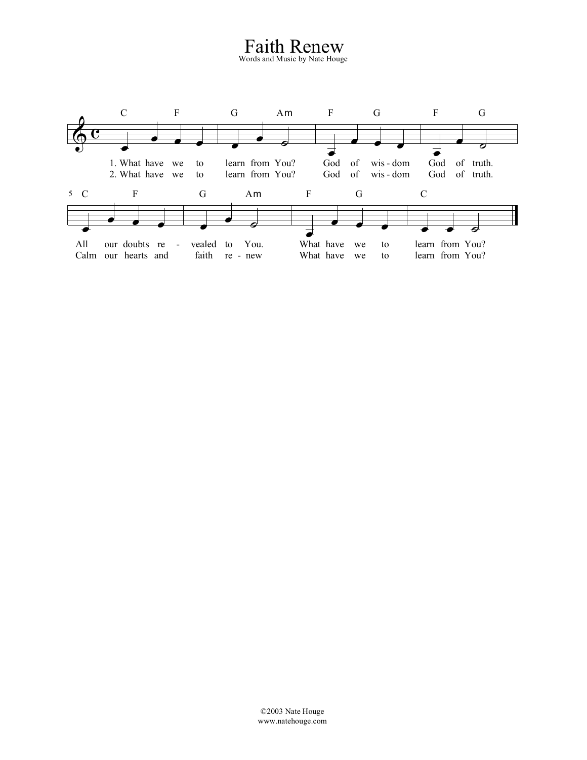#### Faith Renew

Words and Music by Nate Houge

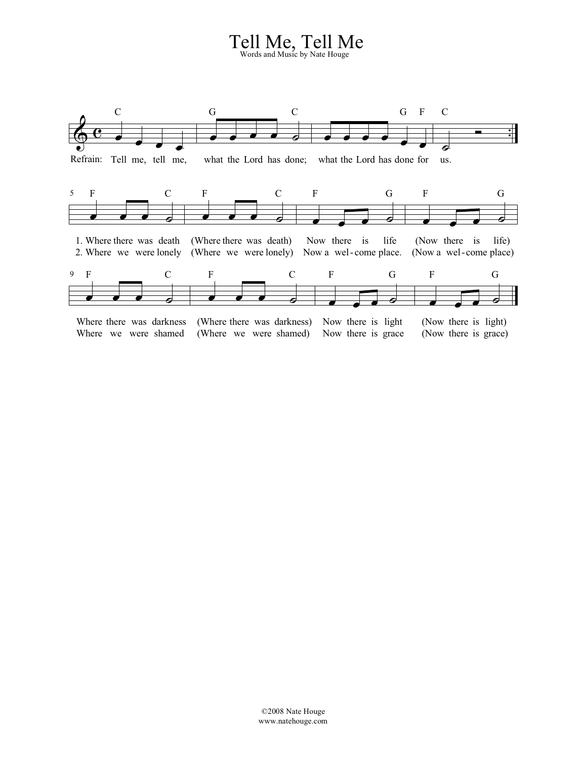### Tell Me, Tell Me Words and Music by Nate Houge

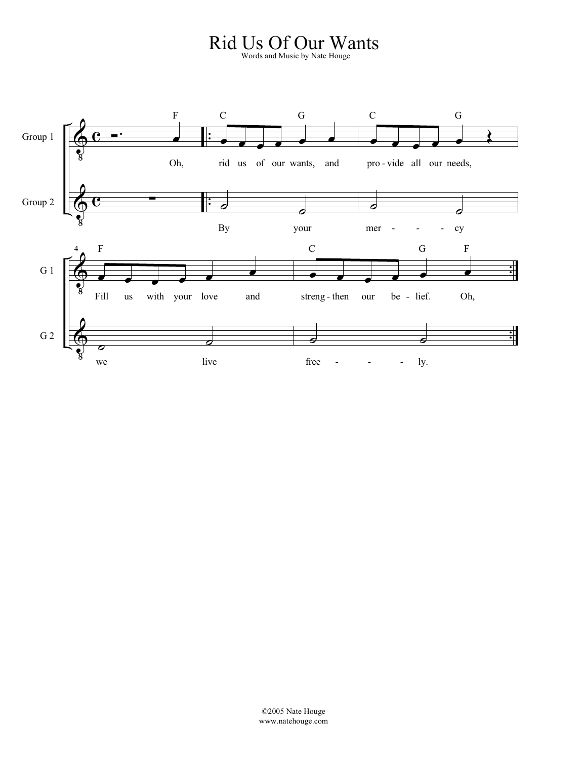### Rid Us Of Our Wants Words and Music by Nate Houge

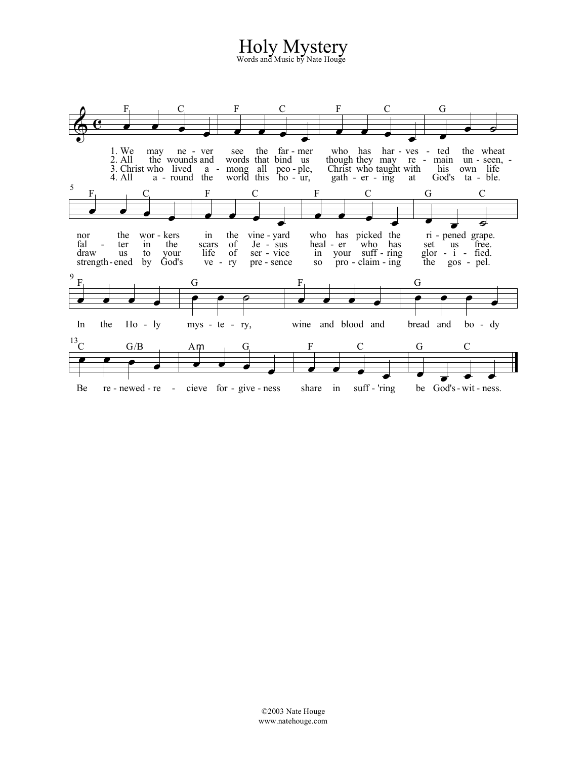# Holy Mystery

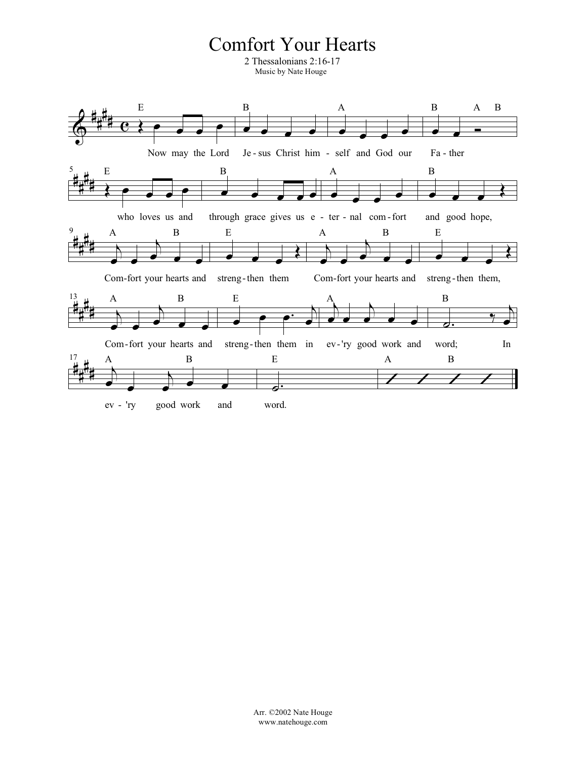#### **Comfort Your Hearts**

2 Thessalonians 2:16-17 Music by Nate Houge

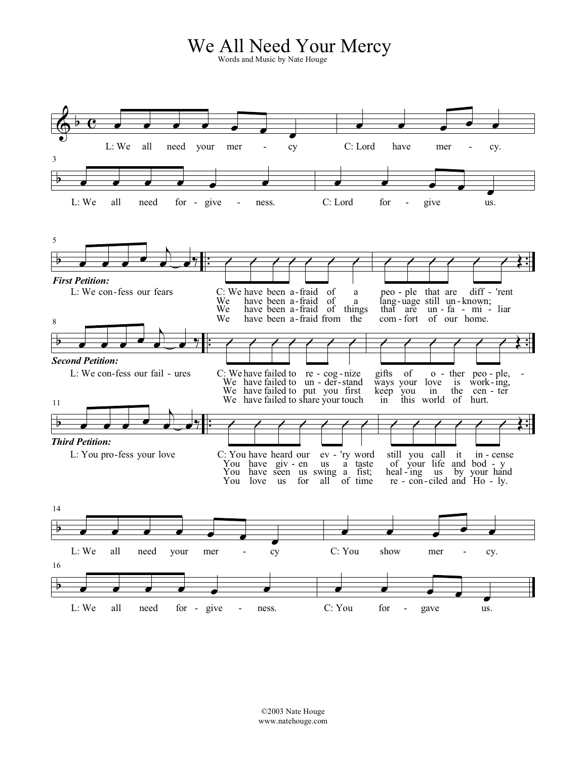### We All Need Your Mercy

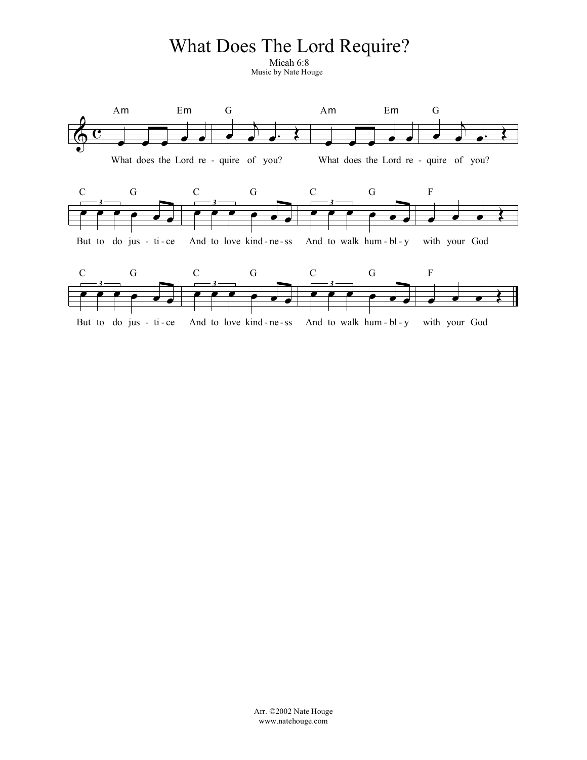### What Does The Lord Require?

Micah 6:8 Music by Nate Houge

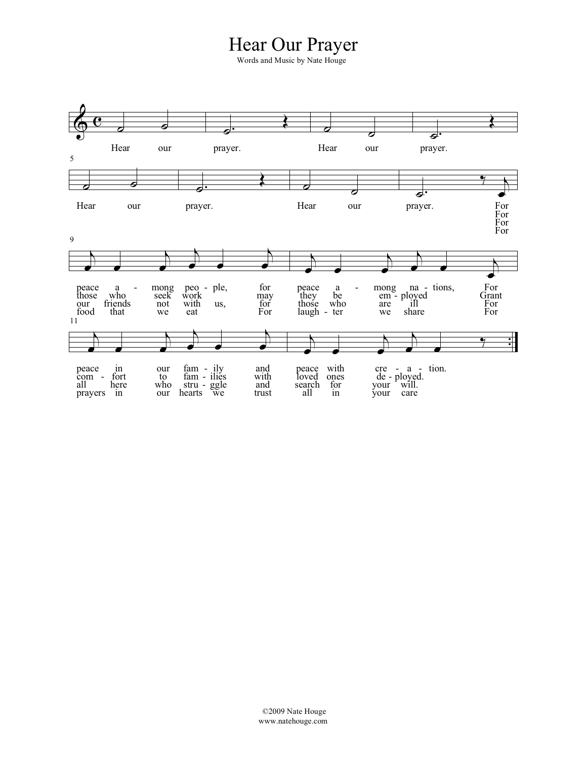#### Hear Our Prayer

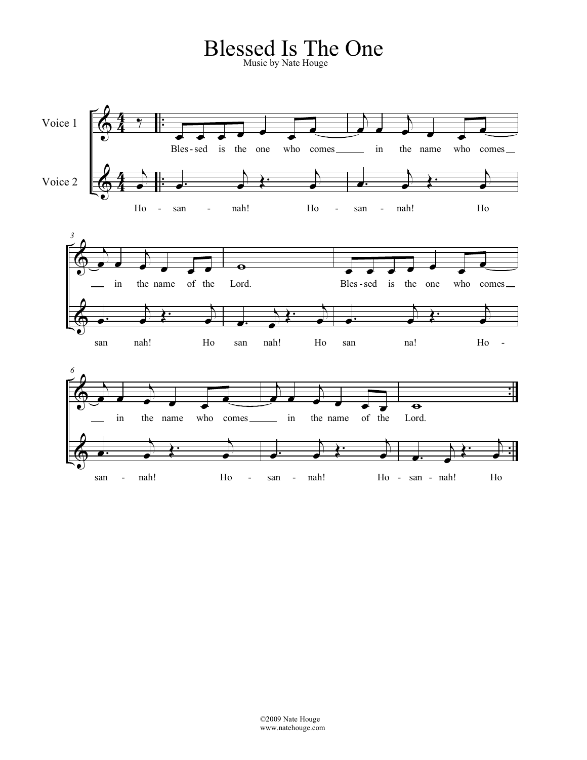# Blessed Is The One Music by Nate Houge

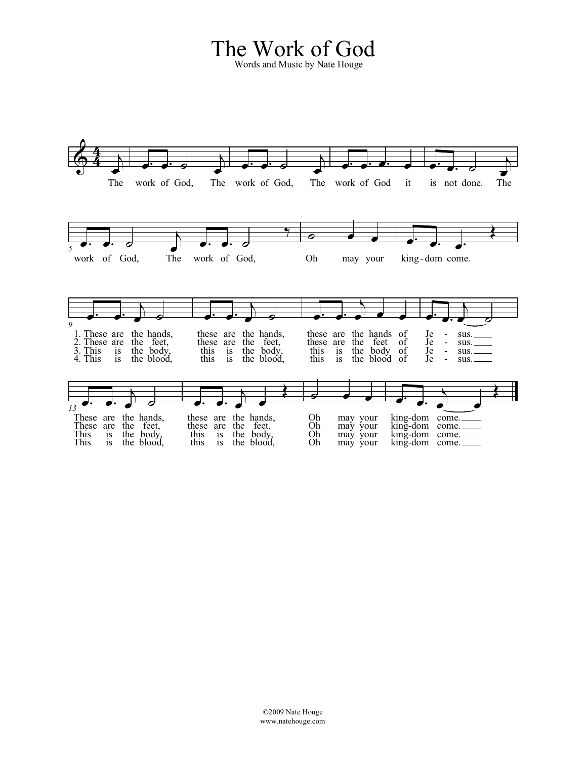### The Work of God

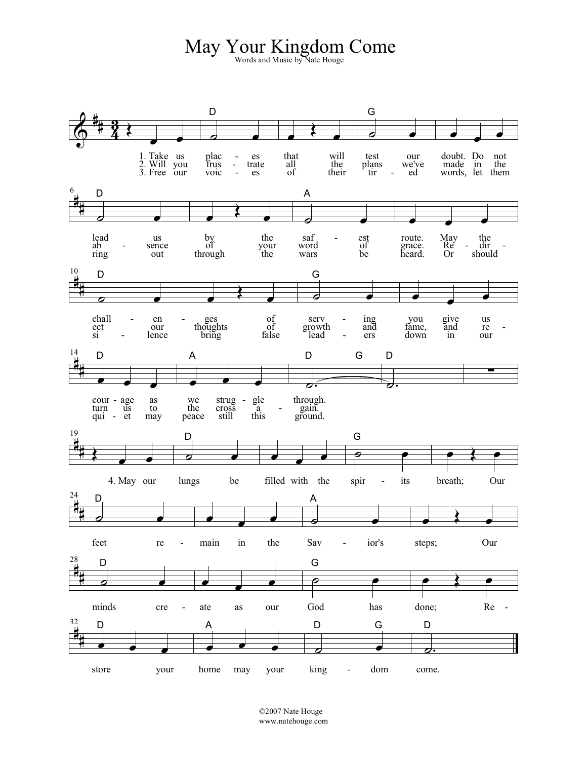# May Your Kingdom Come

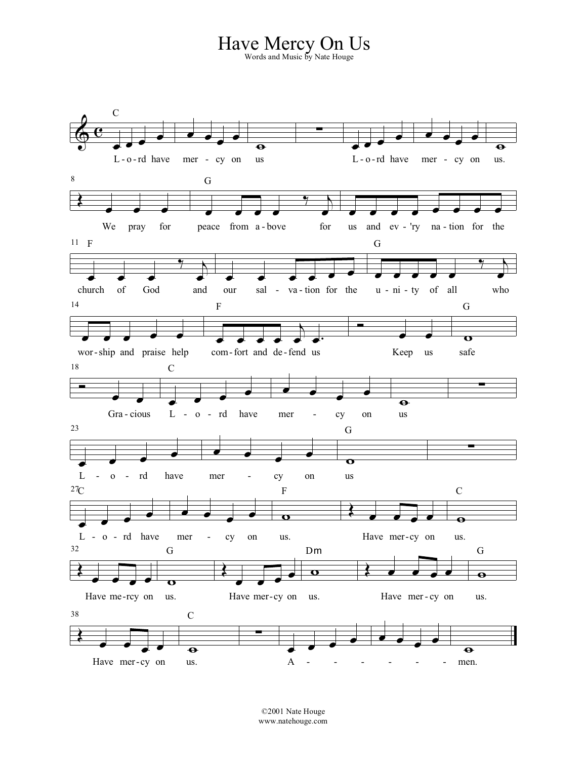### Have Mercy On Us Words and Music by Nate Houge



©2001 Nate Houge www.natehouge.com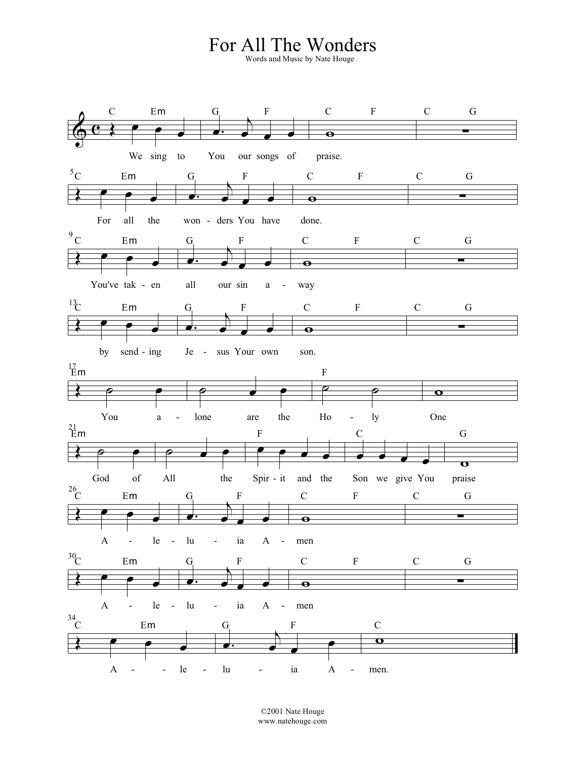## For All The Wonders Words and Music by Nate Houge



©2001 Nate Houge www.natehouge.com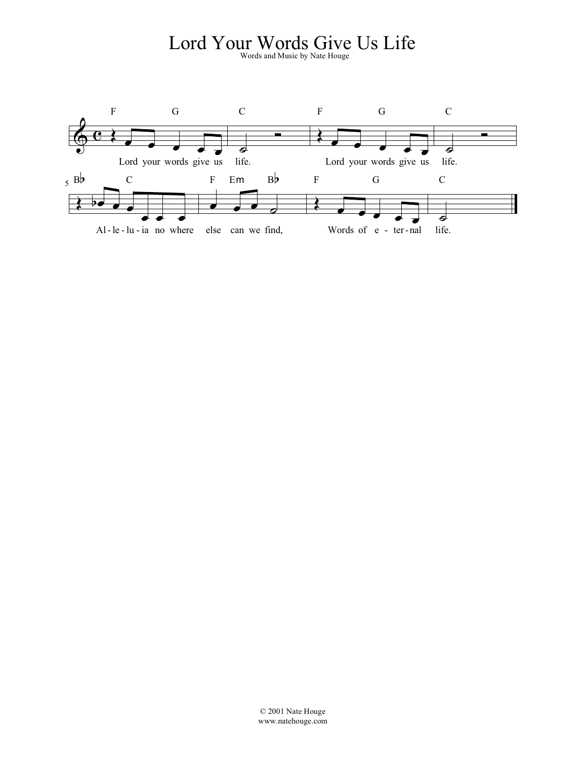### Lord Your Words Sive Us Life

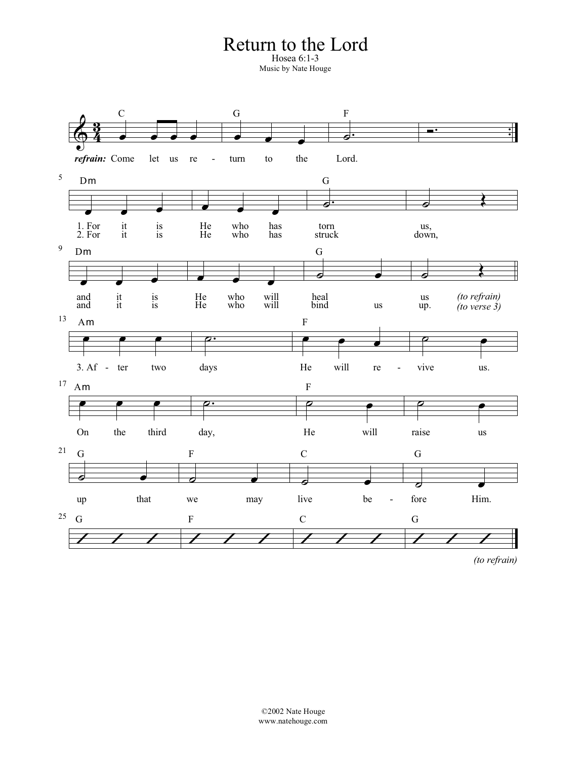#### Return to the Lord

Hosea 6:1-3 Music by Nate Houge



*(to refrain)*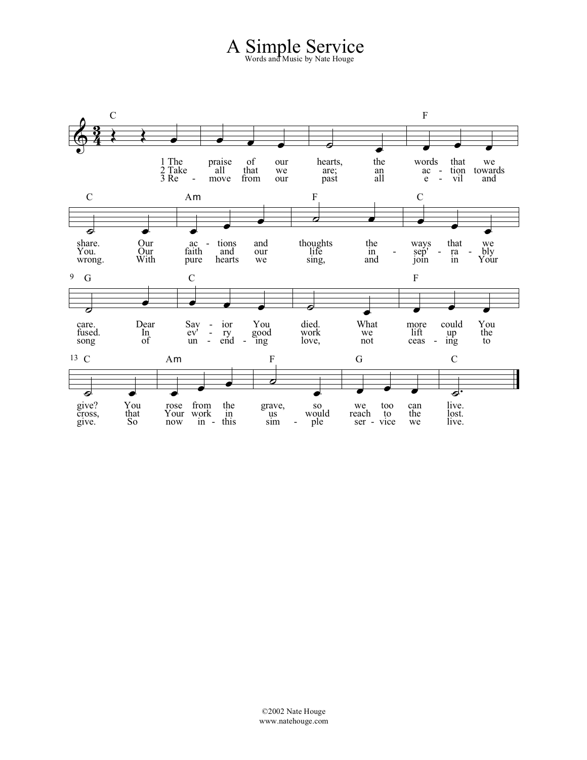A Simple Service Words and Music by Nate Houge

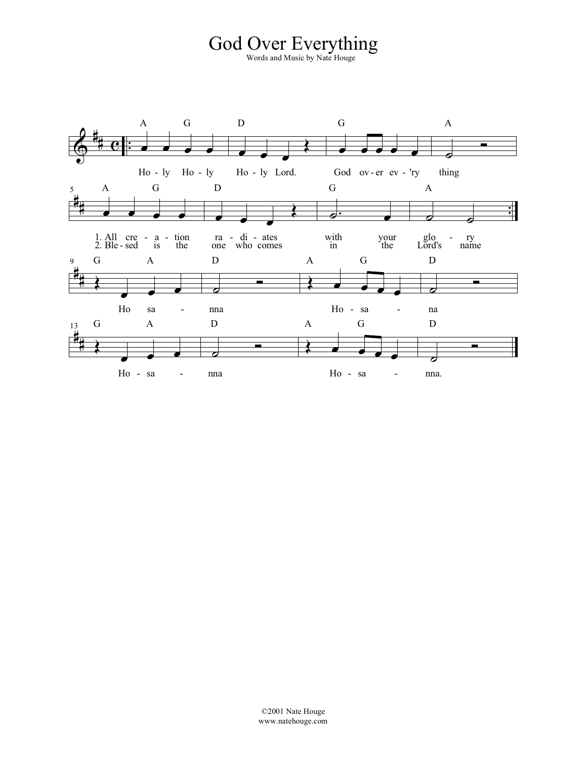# God Over Everything

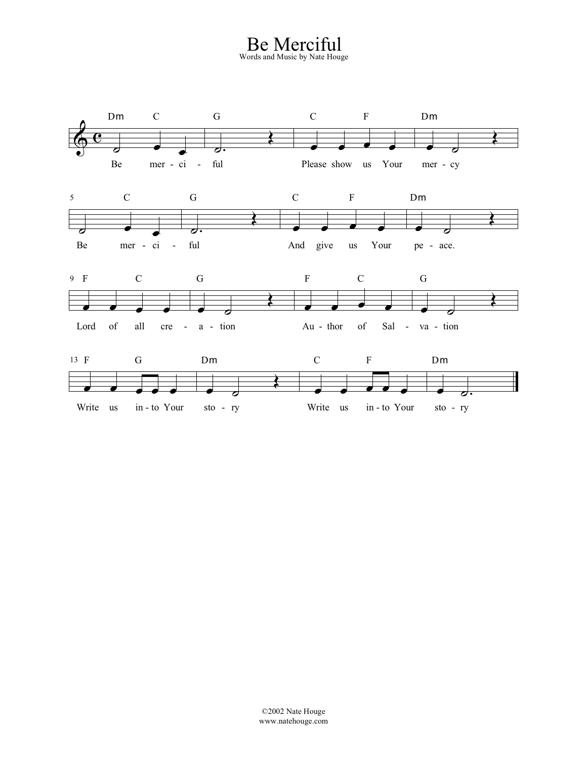Be Merciful Words and Music by Nate Houge

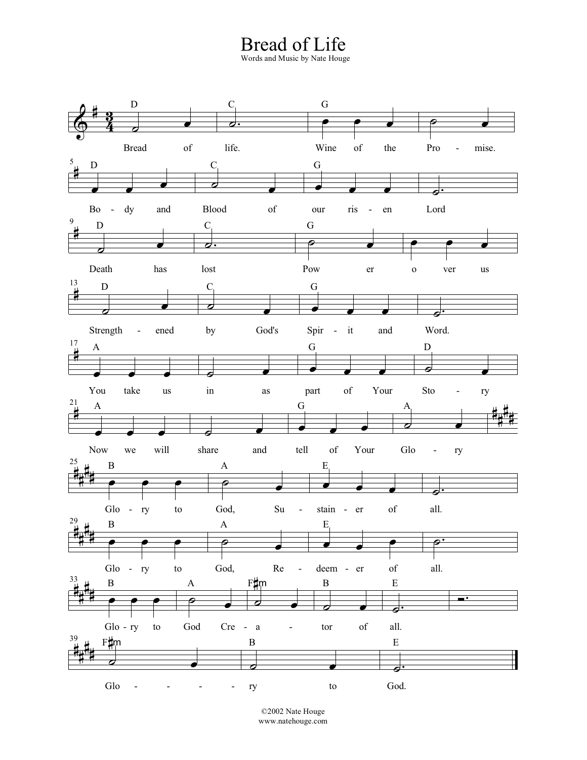# Bread of Life Words and Music by Nate Houge



©2002 Nate Houge www.natehouge.com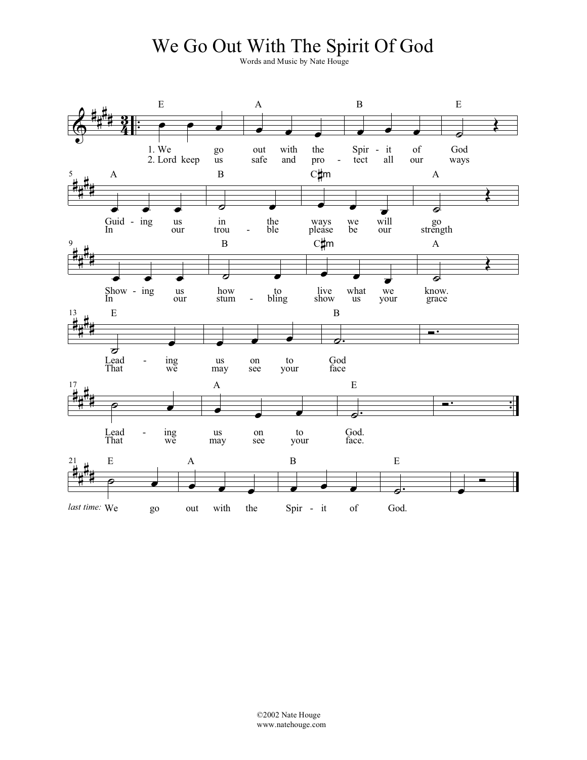#### We Go Out With The Spirit Of God

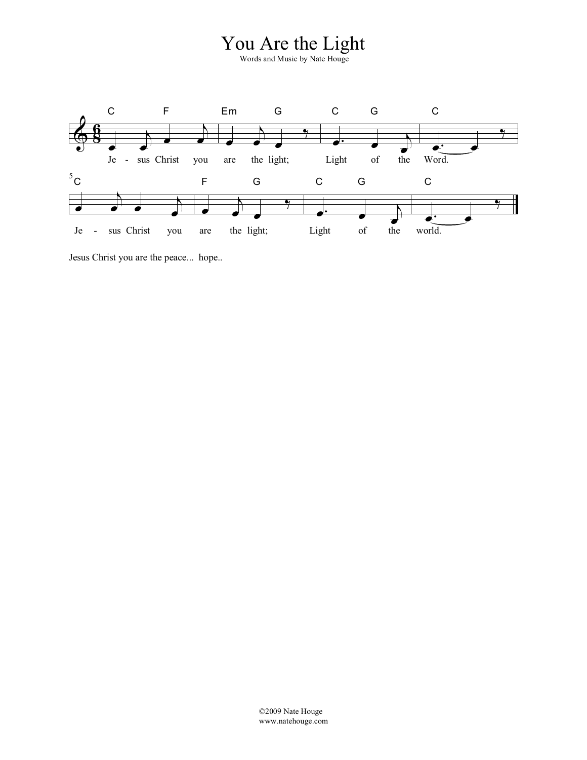#### You Are the Light



Jesus Christ you are the peace... hope..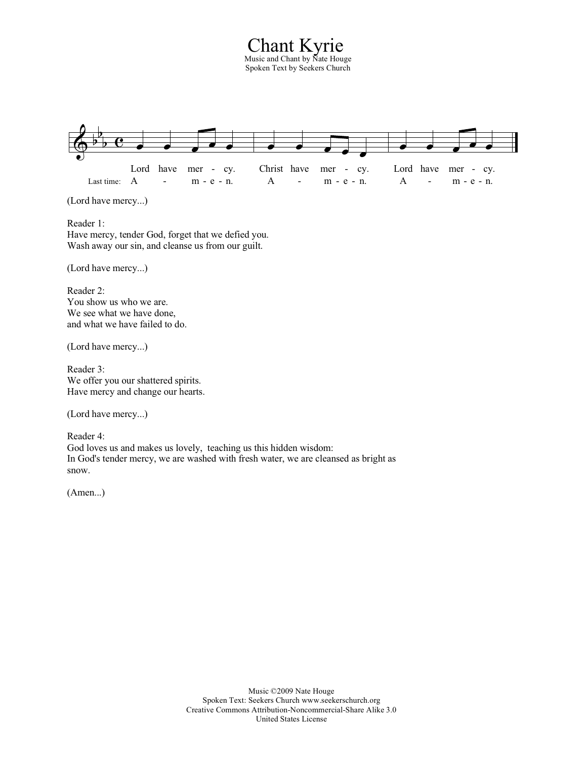Chant Kyrie Music and Chant by Nate Houge Spoken Text by Seekers Church



(Lord have mercy...)

Reader 1: Have mercy, tender God, forget that we defied you. Wash away our sin, and cleanse us from our guilt.

(Lord have mercy...)

Reader 2: You show us who we are. We see what we have done, and what we have failed to do.

(Lord have mercy...)

Reader 3: We offer you our shattered spirits. Have mercy and change our hearts.

(Lord have mercy...)

Reader 4: God loves us and makes us lovely, teaching us this hidden wisdom: In God's tender mercy, we are washed with fresh water, we are cleansed as bright as snow.

(Amen...)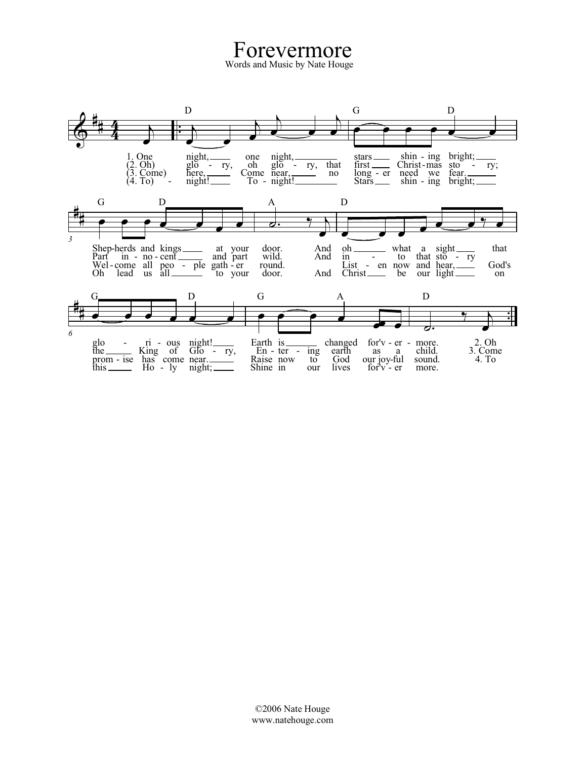Forevermore Words and Music by Nate Houge

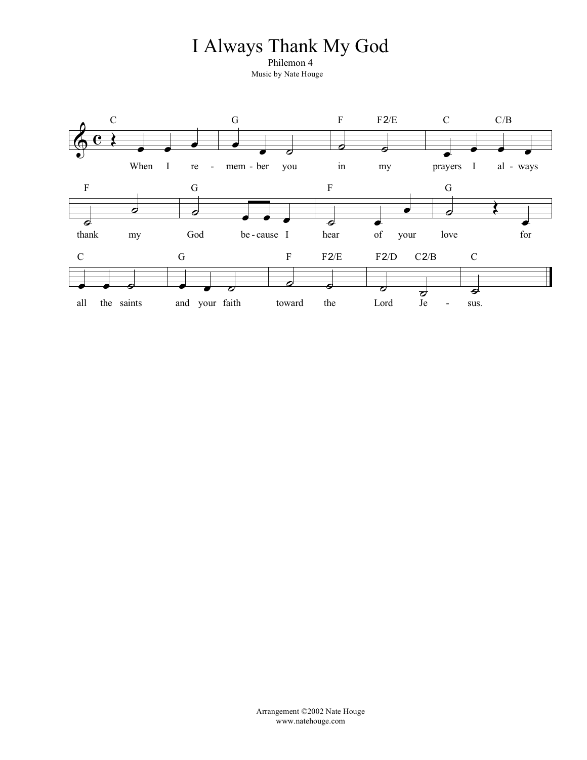### I Always Thank My God

Philemon 4 Music by Nate Houge

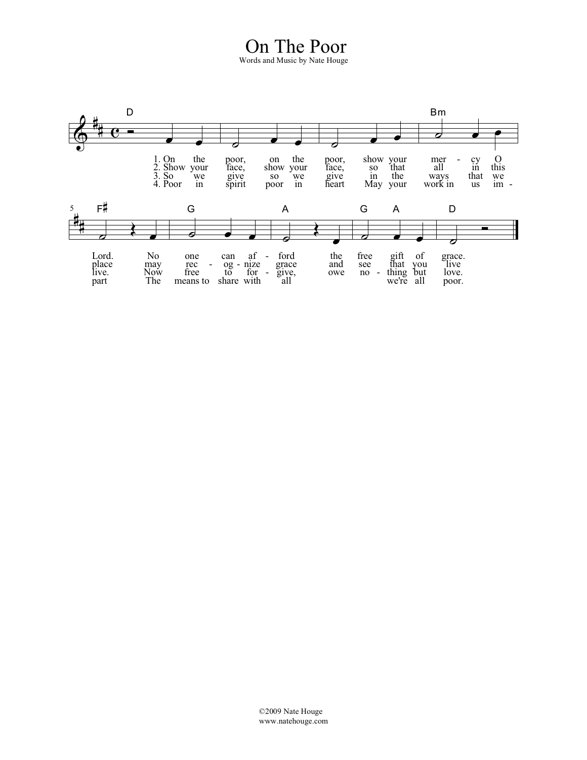#### On The Poor